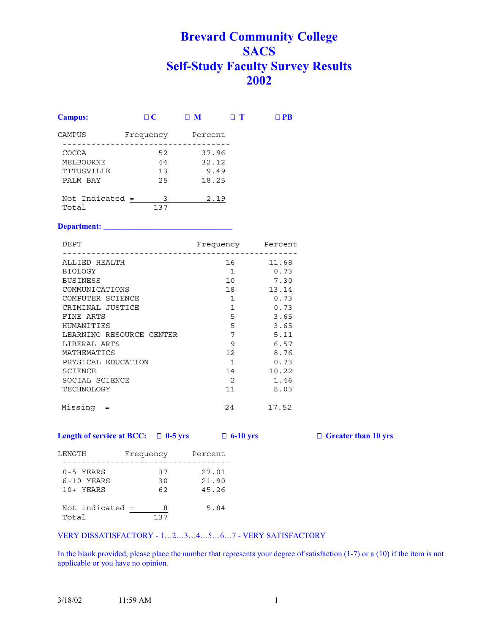# **Brevard Community College SACS Self-Study Faculty Survey Results 2002**

| <b>Campus:</b>    | $\Box$ $\bf C$ | $\mathbf{M}$ | $\Box$ T | $\Box$ PR |
|-------------------|----------------|--------------|----------|-----------|
| CAMPUS            | Frequency      | Percent      |          |           |
| <b>COCOA</b>      | 52             | 37.96        |          |           |
| MELBOURNE         | 44             | 32.12        |          |           |
| TITUSVILLE        | 13             | 9.49         |          |           |
| PALM BAY          | 25             | 18.25        |          |           |
| Not Indicated $=$ | 3              | 2.19         |          |           |
| Total             | 137            |              |          |           |

# **Department: \_\_\_\_\_\_\_\_\_\_\_\_\_\_\_\_\_\_\_\_\_\_\_\_\_\_\_\_\_\_\_\_**

| DEPT                     | Frequency       | Percent |
|--------------------------|-----------------|---------|
| ALLIED HEALTH            | 16              | 11.68   |
| <b>BIOLOGY</b>           | $\mathbf{1}$    | 0.73    |
| <b>BUSINESS</b>          | 10              | 7.30    |
| COMMUNICATIONS           | 18              | 13.14   |
| COMPUTER SCIENCE         | $\mathbf{1}$    | 0.73    |
| CRIMINAL JUSTICE         | $\mathbf{1}$    | 0.73    |
| FINE ARTS                | 5               | 3.65    |
| HUMANITIES               | 5               | 3.65    |
| LEARNING RESOURCE CENTER | 7               | 5.11    |
| LIBERAL ARTS             | 9               | 6.57    |
| MATHEMATICS              | 12 <sup>°</sup> | 8.76    |
| PHYSICAL EDUCATION       | $\mathbf{1}$    | 0.73    |
| SCIENCE                  | 14              | 10.22   |
| SOCIAL SCIENCE           | 2               | 1.46    |
| TECHNOLOGY               | 11              | 8.03    |
| Missing                  | 24              | 17.52   |

### **Length of service at BCC:**  $\Box$  0-5 yrs  $\Box$  6-10 yrs  $\Box$  Greater than 10 yrs

| LENGTH            | Frequency | Percent |
|-------------------|-----------|---------|
| $0-5$ YEARS       | 37        | 27.01   |
| $6-10$ YEARS      | 30        | 21.90   |
| 10+ YEARS         | 62        | 45.26   |
| Not indicated $=$ | 8         | 5.84    |
| Total             | 137       |         |

#### VERY DISSATISFACTORY - 1…2…3…4…5…6…7 - VERY SATISFACTORY

In the blank provided, please place the number that represents your degree of satisfaction (1-7) or a (10) if the item is not applicable or you have no opinion.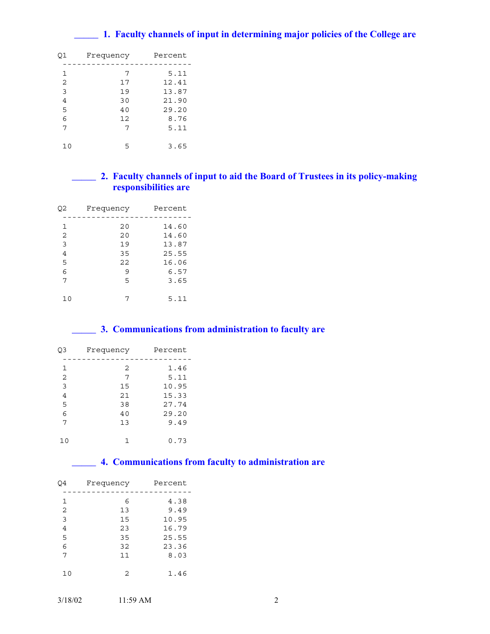# **\_\_\_\_\_ 1. Faculty channels of input in determining major policies of the College are**

| Q1 | Frequency | Percent |
|----|-----------|---------|
|    |           |         |
| 1  | 7         | 5.11    |
| 2  | 17        | 12.41   |
| 3  | 19        | 13.87   |
| 4  | 30        | 21.90   |
| 5  | 40        | 29.20   |
| 6  | 12        | 8.76    |
| 7  | 7         | 5.11    |
|    |           |         |
| 10 | 5         | 3.65    |

# **\_\_\_\_\_ 2. Faculty channels of input to aid the Board of Trustees in its policy-making responsibilities are**

| Q2 | Frequency | Percent |
|----|-----------|---------|
|    |           |         |
| 1  | 20        | 14.60   |
| 2  | 20        | 14.60   |
| 3  | 19        | 13.87   |
| 4  | 35        | 25.55   |
| 5  | 22        | 16.06   |
| 6  | 9         | 6.57    |
| 7  | 5         | 3.65    |
|    |           |         |
| 10 |           | 5.11    |
|    |           |         |

# **\_\_\_\_\_ 3. Communications from administration to faculty are**

| Frequency | Percent |
|-----------|---------|
| 2         | 1.46    |
| 7         | 5.11    |
| 15        | 10.95   |
| 21        | 15.33   |
| 38        | 27.74   |
| 40        | 29.20   |
| 13        | 9.49    |
| 1         | 0.73    |
|           |         |

# **\_\_\_\_\_ 4. Communications from faculty to administration are**

| Q4             | Frequency | Percent |
|----------------|-----------|---------|
|                |           |         |
| 1              | 6         | 4.38    |
| 2              | 13        | 9.49    |
| 3              | 15        | 10.95   |
| $\overline{4}$ | 23        | 16.79   |
| 5              | 35        | 25.55   |
| 6              | 32        | 23.36   |
| 7              | 11        | 8.03    |
| 10             | 2         | 1.46    |
|                |           |         |

| 3/18/02 | $11:59 \text{ AM}$ |  |
|---------|--------------------|--|
|         |                    |  |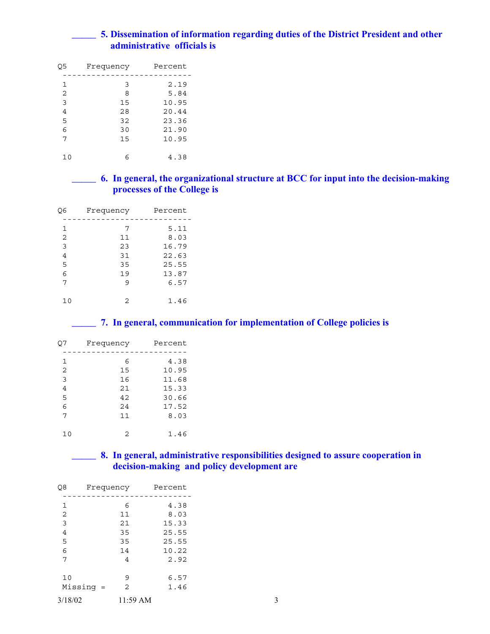# **\_\_\_\_\_ 5. Dissemination of information regarding duties of the District President and other administrative officials is**

| O5 | Frequency | Percent |
|----|-----------|---------|
|    |           |         |
| 1  | 3         | 2.19    |
| 2  | 8         | 5.84    |
| 3  | 15        | 10.95   |
| 4  | 28        | 20.44   |
| 5  | 32        | 23.36   |
| 6  | 30        | 21.90   |
| 7  | 15        | 10.95   |
|    |           |         |
| 10 |           | 4.38    |

# **\_\_\_\_\_ 6. In general, the organizational structure at BCC for input into the decision-making processes of the College is**

| Q6 | Frequency | Percent |
|----|-----------|---------|
|    |           |         |
| 1  | 7         | 5.11    |
| 2  | 11        | 8.03    |
| 3  | 23        | 16.79   |
| 4  | 31        | 22.63   |
| 5  | 35        | 25.55   |
| 6  | 19        | 13.87   |
| 7  | 9         | 6.57    |
|    |           |         |
| 10 | 2         | 1.46    |

## **\_\_\_\_\_ 7. In general, communication for implementation of College policies is**

| Q7 | Frequency     | Percent |
|----|---------------|---------|
| 1  | 6             | 4.38    |
| 2  | 15            | 10.95   |
| 3  | 16            | 11.68   |
| 4  | 21            | 15.33   |
| 5  | 42            | 30.66   |
| 6  | 24            | 17.52   |
| 7  | 11            | 8.03    |
|    |               |         |
| 10 | $\mathcal{D}$ | 1.46    |
|    |               |         |

# **\_\_\_\_\_ 8. In general, administrative responsibilities designed to assure cooperation in decision-making and policy development are**

| Q8             | Frequency | Percent |
|----------------|-----------|---------|
|                |           |         |
| 1              | 6         | 4.38    |
| $\overline{2}$ | 11        | 8.03    |
| 3              | 21        | 15.33   |
| $\overline{4}$ | 35        | 25.55   |
| 5              | 35        | 25.55   |
| 6              | 14        | 10.22   |
| 7              | 4         | 2.92    |
|                |           |         |
| 10             | 9         | 6.57    |
| $Missing =$    | 2         | 1.46    |
| 3/18/02        | 11:59 AM  | 3       |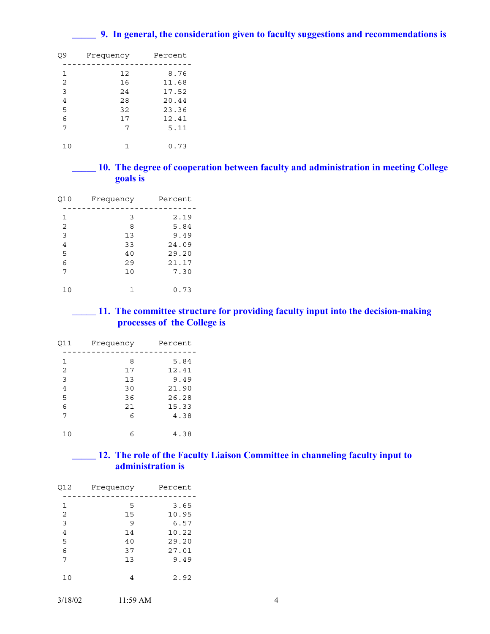# **\_\_\_\_\_ 9. In general, the consideration given to faculty suggestions and recommendations is**

| Q9 | Frequency | Percent |
|----|-----------|---------|
| 1  | 12        | 8.76    |
| 2  | 16        | 11.68   |
| 3  | 2.4       | 17.52   |
| 4  | 2.8       | 20.44   |
| 5  | 32        | 23.36   |
| 6  | 17        | 12.41   |
| 7  | 7         | 5.11    |
|    |           |         |
| 10 |           | 0.73    |

**\_\_\_\_\_ 10. The degree of cooperation between faculty and administration in meeting College goals is** 

| Q10 | Frequency | Percent |
|-----|-----------|---------|
| 1   | 3         | 2.19    |
| 2   | 8         | 5.84    |
| 3   | 13        | 9.49    |
| 4   | 33        | 24.09   |
| 5   | 40        | 29.20   |
| 6   | 29        | 21.17   |
| 7   | 10        | 7.30    |
|     |           |         |
| 10  | 1         | 0.73    |

**\_\_\_\_\_ 11. The committee structure for providing faculty input into the decision-making processes of the College is** 

| Q11 | Frequency | Percent |
|-----|-----------|---------|
| 1   | 8         | 5.84    |
| 2   | 17        | 12.41   |
| 3   | 13        | 9.49    |
| 4   | 30        | 21.90   |
| 5   | 36        | 26.28   |
| 6   | 21        | 15.33   |
| 7   | 6         | 4.38    |
| 10  | 6         | 4.38    |

# **\_\_\_\_\_ 12. The role of the Faculty Liaison Committee in channeling faculty input to administration is**

|   | Percent | Frequency | Q12            |
|---|---------|-----------|----------------|
|   | 3.65    | 5         | $\mathbf{1}$   |
|   | 10.95   | 15        | 2              |
|   | 6.57    | 9         | 3              |
|   | 10.22   | 14        | $\overline{4}$ |
|   | 29.20   | 40        | 5              |
|   | 27.01   | 37        | 6              |
|   | 9.49    | 13        | 7              |
|   | 2.92    | 4         | 10             |
| 4 |         | 11:59 AM  | 3/18/02        |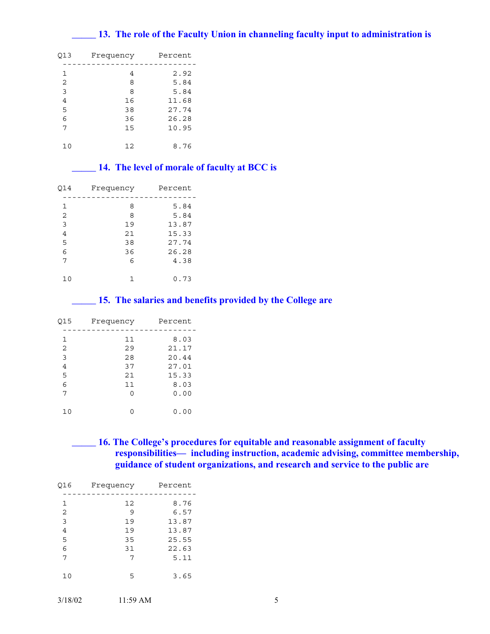# **\_\_\_\_\_ 13. The role of the Faculty Union in channeling faculty input to administration is**

| 013 | Frequency | Percent |
|-----|-----------|---------|
| 1   | 4         | 2.92    |
| 2   | 8         | 5.84    |
| 3   | 8         | 5.84    |
| 4   | 16        | 11.68   |
| 5   | 38        | 27.74   |
| 6   | 36        | 26.28   |
| 7   | 15        | 10.95   |
|     |           |         |
|     | 12        | 8.76    |

# **\_\_\_\_\_ 14. The level of morale of faculty at BCC is**

| Q14 | Frequency | Percent |
|-----|-----------|---------|
|     |           |         |
| 1   | 8         | 5.84    |
| 2   | 8         | 5.84    |
| 3   | 19        | 13.87   |
| 4   | 21        | 15.33   |
| 5   | 38        | 27.74   |
| 6   | 36        | 26.28   |
| 7   | 6         | 4.38    |
|     |           |         |
| 10  |           | 0.73    |

## **\_\_\_\_\_ 15. The salaries and benefits provided by the College are**

| Q15 | Frequency | Percent |
|-----|-----------|---------|
|     |           |         |
| 1   | 11        | 8.03    |
| 2   | 29        | 21.17   |
| 3   | 28        | 20.44   |
| 4   | 37        | 27.01   |
| 5   | 2.1       | 15.33   |
| 6   | 11        | 8.03    |
| 7   | ∩         | 0.00    |
|     |           |         |
| 10  |           | 0.00    |
|     |           |         |

**\_\_\_\_\_ 16. The College's procedures for equitable and reasonable assignment of faculty responsibilities— including instruction, academic advising, committee membership, guidance of student organizations, and research and service to the public are** 

| Q16            | Frequency | Percent |
|----------------|-----------|---------|
| 1              | 12        | 8.76    |
|                |           |         |
| 2              | 9         | 6.57    |
| 3              | 19        | 13.87   |
| $\overline{4}$ | 19        | 13.87   |
| 5              | 35        | 25.55   |
| 6              | 31        | 22.63   |
| 7              | 7         | 5.11    |
| 10             | 5         | 3.65    |
|                |           |         |

| 3/18/02 | $11:59 \text{ AM}$ |  |
|---------|--------------------|--|
|         |                    |  |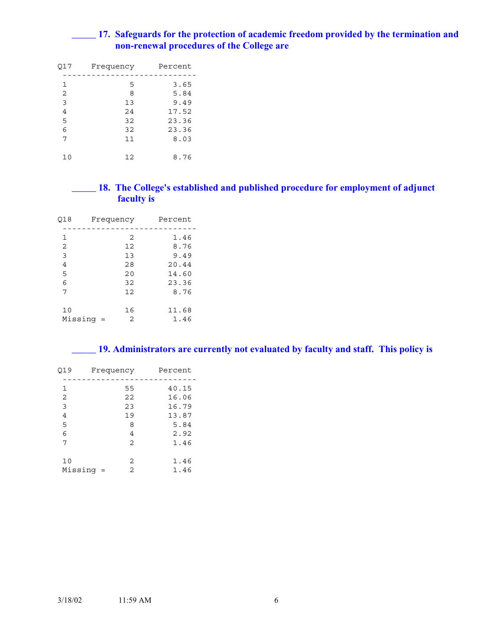# **\_\_\_\_\_ 17. Safeguards for the protection of academic freedom provided by the termination and non-renewal procedures of the College are**

| Q17 | Frequency | Percent |
|-----|-----------|---------|
| 1   | 5         | 3.65    |
| 2   | 8         | 5.84    |
| 3   | 13        | 9.49    |
| 4   | 24        | 17.52   |
| 5   | 32        | 23.36   |
| 6   | 32        | 23.36   |
| 7   | 11        | 8.03    |
| 10  | 12        | 8.76    |

# **\_\_\_\_\_ 18. The College's established and published procedure for employment of adjunct faculty is**

| Q18<br>Frequency |          |                | Percent |
|------------------|----------|----------------|---------|
| 1                |          | 2              | 1.46    |
| 2                |          | 12             | 8.76    |
| 3                |          | 13             | 9.49    |
| 4                |          | 28             | 20.44   |
| 5                |          | 20             | 14.60   |
| 6                |          | 32             | 23.36   |
| 7                |          | 12             | 8.76    |
| 10               |          | 16             | 11.68   |
| Missinq          | $\equiv$ | $\mathfrak{D}$ | 1.46    |

**\_\_\_\_\_ 19. Administrators are currently not evaluated by faculty and staff. This policy is** 

| Q19     | Frequency      | Percent |
|---------|----------------|---------|
| 1       | 55             | 40.15   |
| 2       | 22             | 16.06   |
| 3       | 23             | 16.79   |
| 4       | 19             | 13.87   |
| 5       | 8              | 5.84    |
| 6       | 4              | 2.92    |
| 7       | $\overline{2}$ | 1.46    |
| 10      | 2              | 1.46    |
| Missinq | 2<br>$\quad =$ | 1.46    |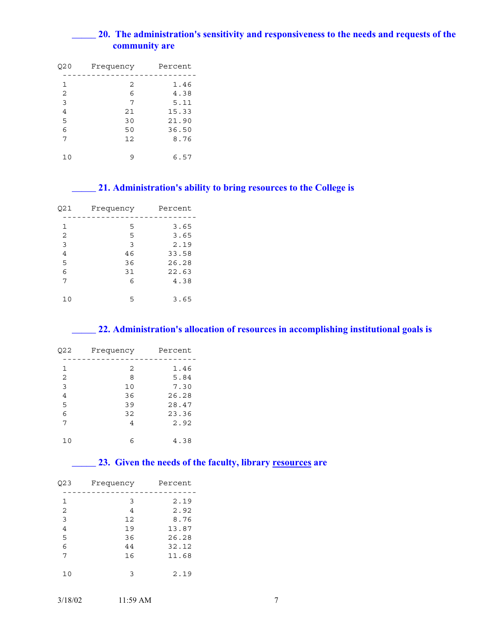# **\_\_\_\_\_ 20. The administration's sensitivity and responsiveness to the needs and requests of the community are**

| Q20 | Frequency | Percent |  |
|-----|-----------|---------|--|
| 1   | 2         | 1.46    |  |
| 2   | 6         | 4.38    |  |
| 3   | 7         | 5.11    |  |
| 4   | 21        | 15.33   |  |
| 5   | 30        | 21.90   |  |
| 6   | 50        | 36.50   |  |
| 7   | 12        | 8.76    |  |
|     |           |         |  |
| 10  | q         | 6.57    |  |

# **\_\_\_\_\_ 21. Administration's ability to bring resources to the College is**

| Q21 | Frequency | Percent |  |
|-----|-----------|---------|--|
|     |           |         |  |
| 1   | 5         | 3.65    |  |
| 2   | 5         | 3.65    |  |
| 3   | 3         | 2.19    |  |
| 4   | 46        | 33.58   |  |
| 5   | 36        | 26.28   |  |
| 6   | 31        | 22.63   |  |
| 7   | 6         | 4.38    |  |
|     |           |         |  |
|     | 5         | 3.65    |  |

# **\_\_\_\_\_ 22. Administration's allocation of resources in accomplishing institutional goals is**

| Q22 | Frequency      | Percent |
|-----|----------------|---------|
| 1   | 2              | 1.46    |
| 2   | 8              | 5.84    |
| 3   | 10             | 7.30    |
| 4   | 36             | 26.28   |
| 5   | 39             | 28.47   |
| 6   | 32             | 23.36   |
| 7   | $\overline{4}$ | 2.92    |
| 10  | 6              | 4.38    |

# **\_\_\_\_\_ 23. Given the needs of the faculty, library resources are**

| Q23            | Frequency      | Percent |
|----------------|----------------|---------|
|                |                |         |
| 1              | 3              | 2.19    |
| 2              | $\overline{4}$ | 2.92    |
| 3              | 12             | 8.76    |
| $\overline{4}$ | 19             | 13.87   |
| 5              | 36             | 26.28   |
| 6              | 44             | 32.12   |
| 7              | 16             | 11.68   |
| 10             | 3              | 2.19    |
|                |                |         |

| 3/18/02 | $11:59 \text{ AM}$ |  |
|---------|--------------------|--|
|         |                    |  |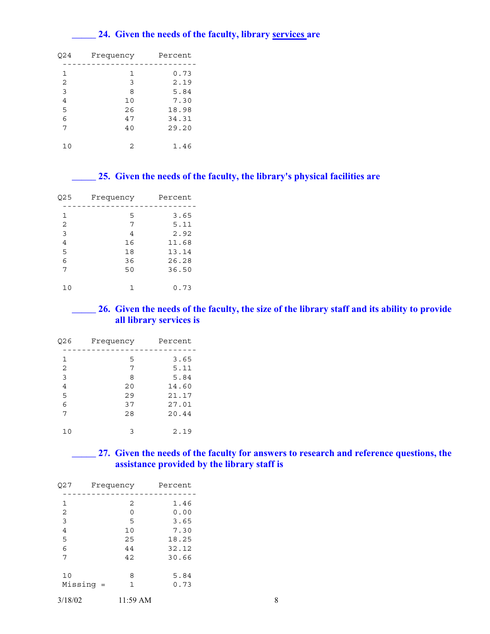# **\_\_\_\_\_ 24. Given the needs of the faculty, library services are**

| 024 | Frequency | Percent |  |
|-----|-----------|---------|--|
|     |           |         |  |
| 1   | 1         | 0.73    |  |
| 2   | 3         | 2.19    |  |
| 3   | 8         | 5.84    |  |
| 4   | 10        | 7.30    |  |
| 5   | 26        | 18.98   |  |
| 6   | 47        | 34.31   |  |
| 7   | 40        | 29.20   |  |
|     |           |         |  |
| 10  | 2         | 1.46    |  |
|     |           |         |  |

# **\_\_\_\_\_ 25. Given the needs of the faculty, the library's physical facilities are**

| Q25 | Frequency | Percent |  |
|-----|-----------|---------|--|
|     |           |         |  |
| 1   | 5         | 3.65    |  |
| 2   | 7         | 5.11    |  |
| 3   | 4         | 2.92    |  |
| 4   | 16        | 11.68   |  |
| 5   | 18        | 13.14   |  |
| 6   | 36        | 26.28   |  |
| 7   | 50        | 36.50   |  |
|     |           |         |  |
|     |           | 0.73    |  |

# **\_\_\_\_\_ 26. Given the needs of the faculty, the size of the library staff and its ability to provide all library services is**

| Q26 | Frequency | Percent |  |
|-----|-----------|---------|--|
|     |           |         |  |
| 1   | 5         | 3.65    |  |
| 2   | 7         | 5.11    |  |
| 3   | 8         | 5.84    |  |
| 4   | 20        | 14.60   |  |
| 5   | 29        | 21.17   |  |
| 6   | 37        | 27.01   |  |
| 7   | 2.8       | 20.44   |  |
|     |           |         |  |
| 10  | ٦         | 2.19    |  |

# **\_\_\_\_\_ 27. Given the needs of the faculty for answers to research and reference questions, the assistance provided by the library staff is**

| Q27            | Frequency |          | Percent |   |
|----------------|-----------|----------|---------|---|
| 1              |           | 2        | 1.46    |   |
| 2              |           | $\Omega$ | 0.00    |   |
| 3              |           | 5        | 3.65    |   |
| $\overline{4}$ |           | 10       | 7.30    |   |
| 5              |           | 25       | 18.25   |   |
| 6              |           | 44       | 32.12   |   |
| 7              |           | 42       | 30.66   |   |
|                |           |          |         |   |
| 10             |           | 8        | 5.84    |   |
| $Missing =$    |           | 1        | 0.73    |   |
| 3/18/02        |           | 11:59 AM |         | 8 |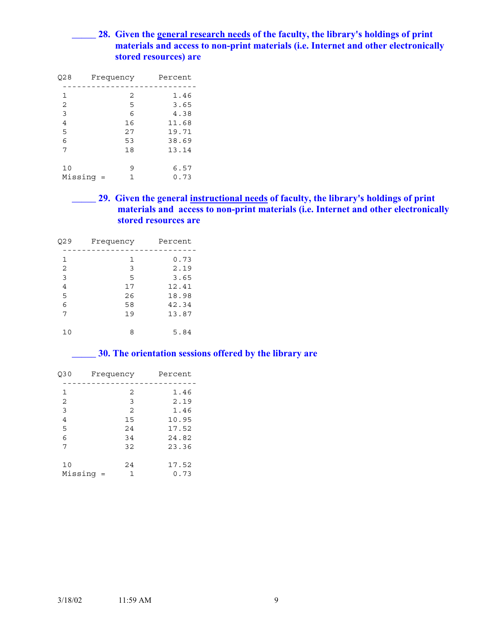# **\_\_\_\_\_ 28. Given the general research needs of the faculty, the library's holdings of print materials and access to non-print materials (i.e. Internet and other electronically stored resources) are**

| O28     | Frequency |    | Percent |
|---------|-----------|----|---------|
|         |           |    |         |
| 1       |           | 2  | 1.46    |
| 2       |           | 5  | 3.65    |
| 3       |           | 6  | 4.38    |
| 4       |           | 16 | 11.68   |
| 5       |           | 27 | 19.71   |
| 6       |           | 53 | 38.69   |
| 7       |           | 18 | 13.14   |
|         |           |    |         |
| 10      |           | 9  | 6.57    |
| Missinq | $=$       |    | 0.73    |
|         |           |    |         |

**\_\_\_\_\_ 29. Given the general instructional needs of faculty, the library's holdings of print materials and access to non-print materials (i.e. Internet and other electronically stored resources are** 

| Q29 | Frequency | Percent |
|-----|-----------|---------|
| 1   | 1         | 0.73    |
| 2   | 3         | 2.19    |
| 3   | 5         | 3.65    |
| 4   | 17        | 12.41   |
| 5   | 26        | 18.98   |
| 6   | 58        | 42.34   |
| 7   | 19        | 13.87   |
| 10  | 8         | 5.84    |

# **\_\_\_\_\_ 30. The orientation sessions offered by the library are**

| Q30     | Frequency |                | Percent |
|---------|-----------|----------------|---------|
|         |           |                |         |
| 1       |           | 2              | 1.46    |
| 2       |           | 3              | 2.19    |
| 3       |           | $\overline{2}$ | 1.46    |
| 4       |           | 15             | 10.95   |
| 5       |           | 24             | 17.52   |
| 6       |           | 34             | 24.82   |
| 7       |           | 32             | 23.36   |
|         |           |                |         |
| 10      |           | 24             | 17.52   |
| Missinq |           |                | 0.73    |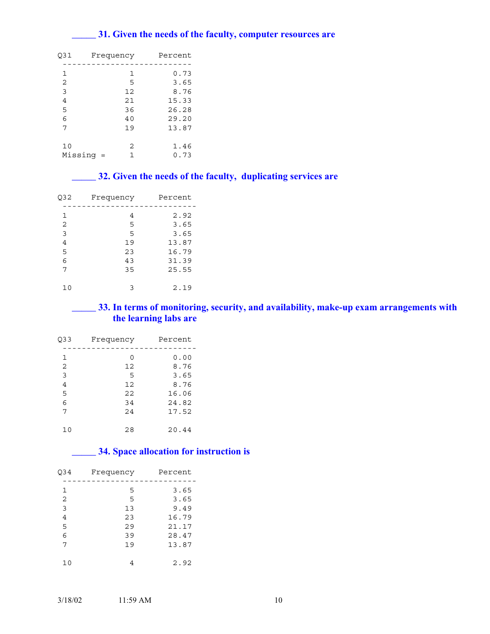# **\_\_\_\_\_ 31. Given the needs of the faculty, computer resources are**

| 031            | Frequency | Percent |
|----------------|-----------|---------|
|                |           |         |
| 1              | 1         | 0.73    |
| $\overline{2}$ | 5         | 3.65    |
| 3              | 12        | 8.76    |
| 4              | 21        | 15.33   |
| 5              | 36        | 26.28   |
| 6              | 40        | 29.20   |
| 7              | 19        | 13.87   |
| 10             | 2         | 1.46    |
| Missinq        | 1<br>$=$  | 0.73    |

# **\_\_\_\_\_ 32. Given the needs of the faculty, duplicating services are**

| Q32 | Frequency | Percent |  |
|-----|-----------|---------|--|
| 1   | 4         | 2.92    |  |
| 2   | 5         | 3.65    |  |
| 3   | 5         | 3.65    |  |
| 4   | 19        | 13.87   |  |
| 5   | 23        | 16.79   |  |
| 6   | 43        | 31.39   |  |
| 7   | 35        | 25.55   |  |
|     |           |         |  |
| 10  | ٦         | 2.19    |  |

# **\_\_\_\_\_ 33. In terms of monitoring, security, and availability, make-up exam arrangements with the learning labs are**

| Q33 | Frequency | Percent |  |
|-----|-----------|---------|--|
| 1   | 0         | 0.00    |  |
| 2   | 12        | 8.76    |  |
| 3   | 5         | 3.65    |  |
| 4   | 12        | 8.76    |  |
| 5   | 22        | 16.06   |  |
| 6   | 34        | 24.82   |  |
| 7   | 2.4       | 17.52   |  |
|     |           |         |  |
|     | 28        | 20.44   |  |

# **\_\_\_\_\_ 34. Space allocation for instruction is**

| 034    | Frequency | Percent      |  |
|--------|-----------|--------------|--|
| 1      | 5         | 3.65         |  |
| 2<br>3 | 5<br>13   | 3.65<br>9.49 |  |
| 4      | 23        | 16.79        |  |
| 5      | 29        | 21.17        |  |
| 6      | 39        | 28.47        |  |
| 7      | 19        | 13.87        |  |
| 10     |           | 2.92         |  |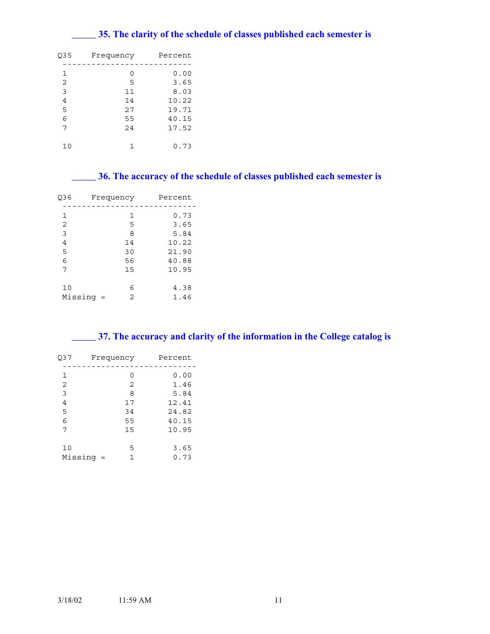# **\_\_\_\_\_ 35. The clarity of the schedule of classes published each semester is**

| 035 | Frequency | Percent |
|-----|-----------|---------|
|     |           |         |
| 1   | 0         | 0.00    |
| 2   | 5         | 3.65    |
| 3   | 11        | 8.03    |
| 4   | 14        | 10.22   |
| 5   | 27        | 19.71   |
| 6   | 55        | 40.15   |
| 7   | 2.4       | 17.52   |
|     |           |         |
| 10  |           | 0.73    |

# **\_\_\_\_\_ 36. The accuracy of the schedule of classes published each semester is**

|                     |    | Percent   |
|---------------------|----|-----------|
|                     | 1  | 0.73      |
|                     | 5  | 3.65      |
|                     | 8  | 5.84      |
|                     | 14 | 10.22     |
|                     | 30 | 21.90     |
|                     | 56 | 40.88     |
|                     | 15 | 10.95     |
|                     | 6  | 4.38      |
| Missinq<br>$\equiv$ | 2  | 1.46      |
|                     |    | Frequency |

| 37. The accuracy and clarity of the information in the College catalog is |  |
|---------------------------------------------------------------------------|--|
|                                                                           |  |

| Q37           | Frequency |          | Percent        |
|---------------|-----------|----------|----------------|
| 1             |           | 0        | 0.00           |
| 2<br>3        |           | 2<br>8   | 1.46<br>5.84   |
| 4             |           | 17       | 12.41          |
| 5<br>6        |           | 34<br>55 | 24.82<br>40.15 |
| 7             |           | 15       | 10.95          |
| 10<br>Missinq | $=$       | 5<br>1   | 3.65<br>0.73   |